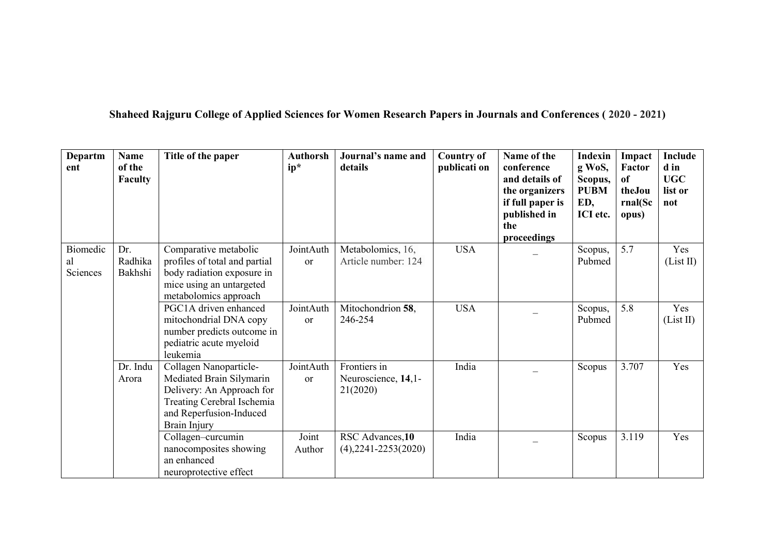Shaheed Rajguru College of Applied Sciences for Women Research Papers in Journals and Conferences (2020 - 2021)

| Departm<br>ent             | <b>Name</b><br>of the<br>Faculty | Title of the paper                                                                                                                                       | <b>Authorsh</b><br>$ip*$   | Journal's name and<br>details                   | <b>Country of</b><br>publicati on | Name of the<br>conference<br>and details of<br>the organizers<br>if full paper is<br>published in<br>the<br>proceedings | <b>Indexin</b><br>g WoS,<br>Scopus,<br><b>PUBM</b><br>ED,<br>ICI etc. | Impact<br>Factor<br>of<br>theJou<br>rnal(Sc<br>opus) | Include<br>d in<br><b>UGC</b><br>list or<br>not |  |
|----------------------------|----------------------------------|----------------------------------------------------------------------------------------------------------------------------------------------------------|----------------------------|-------------------------------------------------|-----------------------------------|-------------------------------------------------------------------------------------------------------------------------|-----------------------------------------------------------------------|------------------------------------------------------|-------------------------------------------------|--|
| Biomedic<br>al<br>Sciences | Dr.<br>Radhika<br>Bakhshi        | Comparative metabolic<br>profiles of total and partial<br>body radiation exposure in<br>mice using an untargeted<br>metabolomics approach                | JointAuth<br><sub>or</sub> | Metabolomics, 16,<br>Article number: 124        | <b>USA</b>                        |                                                                                                                         | Scopus,<br>Pubmed                                                     | 5.7                                                  | Yes<br>(List II)                                |  |
|                            |                                  | PGC1A driven enhanced<br>mitochondrial DNA copy<br>number predicts outcome in<br>pediatric acute myeloid<br>leukemia                                     | JointAuth<br><b>or</b>     | Mitochondrion 58,<br>246-254                    | <b>USA</b>                        |                                                                                                                         | Scopus,<br>Pubmed                                                     | 5.8                                                  | Yes<br>(List II)                                |  |
|                            | Dr. Indu<br>Arora                | Collagen Nanoparticle-<br>Mediated Brain Silymarin<br>Delivery: An Approach for<br>Treating Cerebral Ischemia<br>and Reperfusion-Induced<br>Brain Injury | JointAuth<br><sub>or</sub> | Frontiers in<br>Neuroscience, 14,1-<br>21(2020) | India                             |                                                                                                                         | Scopus                                                                | 3.707                                                | Yes                                             |  |
|                            |                                  | Collagen-curcumin<br>nanocomposites showing<br>an enhanced<br>neuroprotective effect                                                                     | Joint<br>Author            | RSC Advances, 10<br>$(4)$ , 2241-2253(2020)     | India                             |                                                                                                                         | Scopus                                                                | 3.119                                                | Yes                                             |  |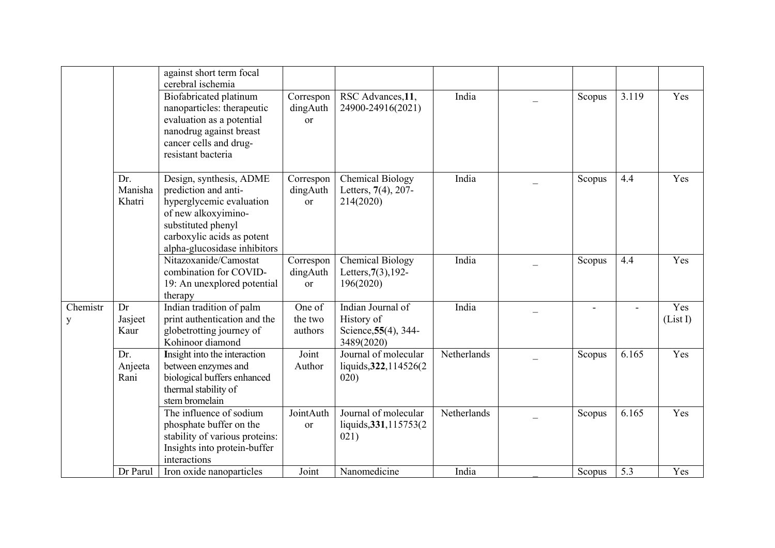|               |                          | against short term focal<br>cerebral ischemia                                                                                                                                          |                                        |                                                                       |             |        |       |                 |
|---------------|--------------------------|----------------------------------------------------------------------------------------------------------------------------------------------------------------------------------------|----------------------------------------|-----------------------------------------------------------------------|-------------|--------|-------|-----------------|
|               |                          | Biofabricated platinum<br>nanoparticles: therapeutic<br>evaluation as a potential<br>nanodrug against breast<br>cancer cells and drug-<br>resistant bacteria                           | Correspon<br>dingAuth<br><sub>or</sub> | RSC Advances, 11,<br>24900-24916(2021)                                | India       | Scopus | 3.119 | Yes             |
|               | Dr.<br>Manisha<br>Khatri | Design, synthesis, ADME<br>prediction and anti-<br>hyperglycemic evaluation<br>of new alkoxyimino-<br>substituted phenyl<br>carboxylic acids as potent<br>alpha-glucosidase inhibitors | Correspon<br>dingAuth<br><b>or</b>     | <b>Chemical Biology</b><br>Letters, 7(4), 207-<br>214(2020)           | India       | Scopus | 4.4   | Yes             |
|               |                          | Nitazoxanide/Camostat<br>combination for COVID-<br>19: An unexplored potential<br>therapy                                                                                              | Correspon<br>dingAuth<br><b>or</b>     | <b>Chemical Biology</b><br>Letters, $7(3)$ , 192-<br>196(2020)        | India       | Scopus | 4.4   | Yes             |
| Chemistr<br>y | Dr<br>Jasjeet<br>Kaur    | Indian tradition of palm<br>print authentication and the<br>globetrotting journey of<br>Kohinoor diamond                                                                               | One of<br>the two<br>authors           | Indian Journal of<br>History of<br>Science, 55(4), 344-<br>3489(2020) | India       |        |       | Yes<br>(List I) |
|               | Dr.<br>Anjeeta<br>Rani   | Insight into the interaction<br>between enzymes and<br>biological buffers enhanced<br>thermal stability of<br>stem bromelain                                                           | Joint<br>Author                        | Journal of molecular<br>liquids, 322, 114526(2)<br>020)               | Netherlands | Scopus | 6.165 | Yes             |
|               |                          | The influence of sodium<br>phosphate buffer on the<br>stability of various proteins:<br>Insights into protein-buffer<br>interactions                                                   | JointAuth<br>or                        | Journal of molecular<br>liquids, 331, 115753(2)<br>021)               | Netherlands | Scopus | 6.165 | Yes             |
|               | Dr Parul                 | Iron oxide nanoparticles                                                                                                                                                               | Joint                                  | Nanomedicine                                                          | India       | Scopus | 5.3   | Yes             |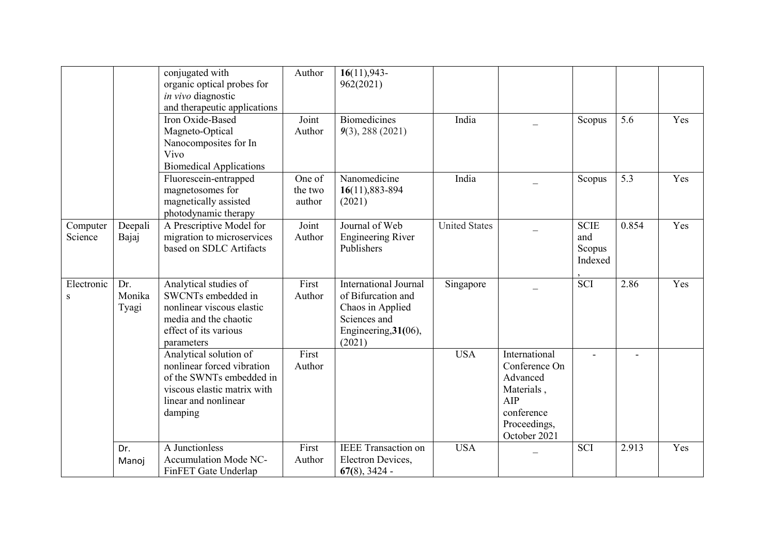|                         |                        | conjugated with<br>organic optical probes for<br>in vivo diagnostic<br>and therapeutic applications                                                | Author                      | $16(11), 943-$<br>962(2021)                                                                                              |                      |                                                                                                               |                                         |                |     |
|-------------------------|------------------------|----------------------------------------------------------------------------------------------------------------------------------------------------|-----------------------------|--------------------------------------------------------------------------------------------------------------------------|----------------------|---------------------------------------------------------------------------------------------------------------|-----------------------------------------|----------------|-----|
|                         |                        | Iron Oxide-Based<br>Magneto-Optical<br>Nanocomposites for In<br>Vivo<br><b>Biomedical Applications</b>                                             | Joint<br>Author             | <b>Biomedicines</b><br>$9(3)$ , 288 (2021)                                                                               | India                |                                                                                                               | Scopus                                  | 5.6            | Yes |
|                         |                        | Fluorescein-entrapped<br>magnetosomes for<br>magnetically assisted<br>photodynamic therapy                                                         | One of<br>the two<br>author | Nanomedicine<br>16(11), 883-894<br>(2021)                                                                                | India                |                                                                                                               | Scopus                                  | 5.3            | Yes |
| Computer<br>Science     | Deepali<br>Bajaj       | A Prescriptive Model for<br>migration to microservices<br>based on SDLC Artifacts                                                                  | Joint<br>Author             | Journal of Web<br><b>Engineering River</b><br>Publishers                                                                 | <b>United States</b> |                                                                                                               | <b>SCIE</b><br>and<br>Scopus<br>Indexed | 0.854          | Yes |
| Electronic<br>${\bf S}$ | Dr.<br>Monika<br>Tyagi | Analytical studies of<br>SWCNTs embedded in<br>nonlinear viscous elastic<br>media and the chaotic<br>effect of its various<br>parameters           | First<br>Author             | <b>International Journal</b><br>of Bifurcation and<br>Chaos in Applied<br>Sciences and<br>Engineering, 31(06),<br>(2021) | Singapore            |                                                                                                               | $\overline{SCI}$                        | 2.86           | Yes |
|                         |                        | Analytical solution of<br>nonlinear forced vibration<br>of the SWNTs embedded in<br>viscous elastic matrix with<br>linear and nonlinear<br>damping | First<br>Author             |                                                                                                                          | <b>USA</b>           | International<br>Conference On<br>Advanced<br>Materials,<br>AIP<br>conference<br>Proceedings,<br>October 2021 |                                         | $\blacksquare$ |     |
|                         | Dr.<br>Manoj           | A Junctionless<br>Accumulation Mode NC-<br>FinFET Gate Underlap                                                                                    | First<br>Author             | <b>IEEE</b> Transaction on<br>Electron Devices,<br>$67(8)$ , 3424 -                                                      | <b>USA</b>           |                                                                                                               | <b>SCI</b>                              | 2.913          | Yes |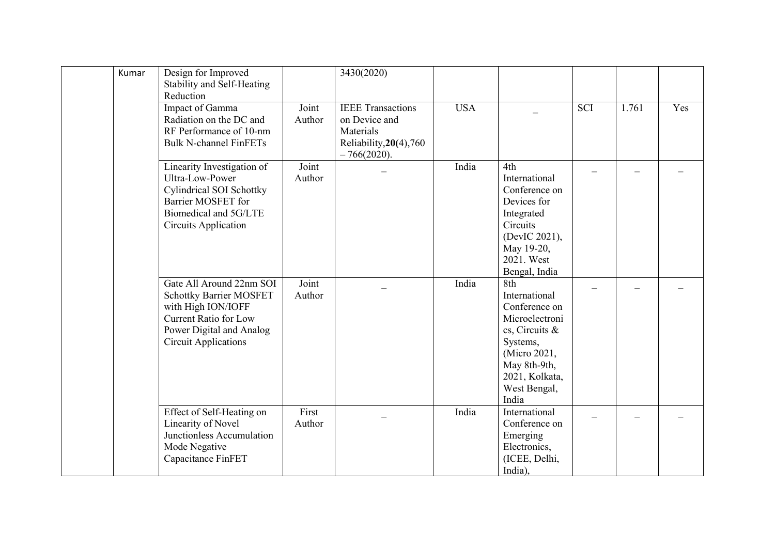| Kumar | Design for Improved<br>Stability and Self-Heating<br>Reduction                                                                                                              |                 | 3430(2020)                                                                                          |            |                                                                                                                                                                  |                          |       |                          |
|-------|-----------------------------------------------------------------------------------------------------------------------------------------------------------------------------|-----------------|-----------------------------------------------------------------------------------------------------|------------|------------------------------------------------------------------------------------------------------------------------------------------------------------------|--------------------------|-------|--------------------------|
|       | Impact of Gamma<br>Radiation on the DC and<br>RF Performance of 10-nm<br><b>Bulk N-channel FinFETs</b>                                                                      | Joint<br>Author | <b>IEEE</b> Transactions<br>on Device and<br>Materials<br>Reliability, 20(4), 760<br>$-766(2020)$ . | <b>USA</b> |                                                                                                                                                                  | <b>SCI</b>               | 1.761 | Yes                      |
|       | Linearity Investigation of<br>Ultra-Low-Power<br><b>Cylindrical SOI Schottky</b><br>Barrier MOSFET for<br>Biomedical and 5G/LTE<br><b>Circuits Application</b>              | Joint<br>Author |                                                                                                     | India      | 4th<br>International<br>Conference on<br>Devices for<br>Integrated<br>Circuits<br>(DevIC 2021),<br>May 19-20,<br>2021. West<br>Bengal, India                     | $\overline{\phantom{0}}$ |       | $\overline{\phantom{0}}$ |
|       | Gate All Around 22nm SOI<br><b>Schottky Barrier MOSFET</b><br>with High ION/IOFF<br><b>Current Ratio for Low</b><br>Power Digital and Analog<br><b>Circuit Applications</b> | Joint<br>Author |                                                                                                     | India      | 8th<br>International<br>Conference on<br>Microelectroni<br>cs, Circuits &<br>Systems,<br>(Micro 2021,<br>May 8th-9th,<br>2021, Kolkata,<br>West Bengal,<br>India | $\overline{\phantom{0}}$ |       | $\overline{\phantom{0}}$ |
|       | Effect of Self-Heating on<br>Linearity of Novel<br>Junctionless Accumulation<br>Mode Negative<br>Capacitance FinFET                                                         | First<br>Author |                                                                                                     | India      | International<br>Conference on<br>Emerging<br>Electronics,<br>(ICEE, Delhi,<br>India),                                                                           |                          |       |                          |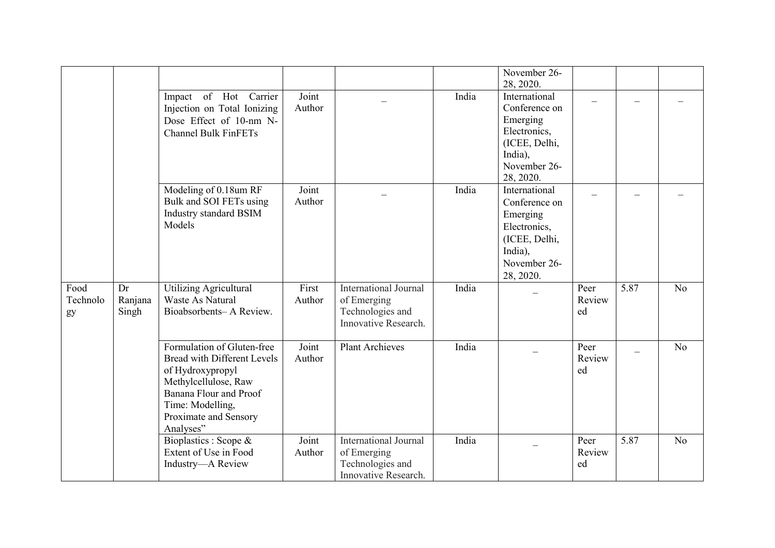|                        |                        |                                                                                                                                                                                                  |                 |                                                                                         |       | November 26-<br>28, 2020.                                                                                           |                      |      |                |
|------------------------|------------------------|--------------------------------------------------------------------------------------------------------------------------------------------------------------------------------------------------|-----------------|-----------------------------------------------------------------------------------------|-------|---------------------------------------------------------------------------------------------------------------------|----------------------|------|----------------|
|                        |                        | Impact of Hot Carrier<br>Injection on Total Ionizing<br>Dose Effect of 10-nm N-<br><b>Channel Bulk FinFETs</b>                                                                                   | Joint<br>Author |                                                                                         | India | International<br>Conference on<br>Emerging<br>Electronics,<br>(ICEE, Delhi,<br>India),<br>November 26-<br>28, 2020. |                      |      |                |
|                        |                        | Modeling of 0.18um RF<br>Bulk and SOI FETs using<br>Industry standard BSIM<br>Models                                                                                                             | Joint<br>Author |                                                                                         | India | International<br>Conference on<br>Emerging<br>Electronics,<br>(ICEE, Delhi,<br>India),<br>November 26-<br>28, 2020. |                      |      |                |
| Food<br>Technolo<br>gy | Dr<br>Ranjana<br>Singh | <b>Utilizing Agricultural</b><br>Waste As Natural<br>Bioabsorbents-A Review.                                                                                                                     | First<br>Author | <b>International Journal</b><br>of Emerging<br>Technologies and<br>Innovative Research. | India |                                                                                                                     | Peer<br>Review<br>ed | 5.87 | N <sub>o</sub> |
|                        |                        | Formulation of Gluten-free<br><b>Bread with Different Levels</b><br>of Hydroxypropyl<br>Methylcellulose, Raw<br>Banana Flour and Proof<br>Time: Modelling,<br>Proximate and Sensory<br>Analyses" | Joint<br>Author | <b>Plant Archieves</b>                                                                  | India |                                                                                                                     | Peer<br>Review<br>ed |      | N <sub>o</sub> |
|                        |                        | Bioplastics : Scope &<br>Extent of Use in Food<br>Industry-A Review                                                                                                                              | Joint<br>Author | <b>International Journal</b><br>of Emerging<br>Technologies and<br>Innovative Research. | India |                                                                                                                     | Peer<br>Review<br>ed | 5.87 | N <sub>o</sub> |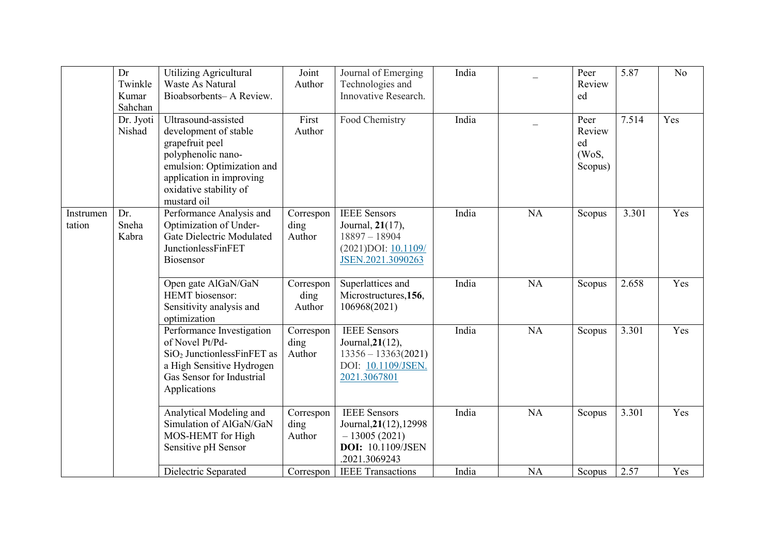|                     | Dr<br>Twinkle<br>Kumar<br>Sahchan | <b>Utilizing Agricultural</b><br><b>Waste As Natural</b><br>Bioabsorbents-A Review.                                                                                                      | Joint<br>Author             | Journal of Emerging<br>Technologies and<br>Innovative Research.                                              | India |           | Peer<br>Review<br>ed                     | 5.87  | N <sub>o</sub> |
|---------------------|-----------------------------------|------------------------------------------------------------------------------------------------------------------------------------------------------------------------------------------|-----------------------------|--------------------------------------------------------------------------------------------------------------|-------|-----------|------------------------------------------|-------|----------------|
|                     | Dr. Jyoti<br>Nishad               | Ultrasound-assisted<br>development of stable<br>grapefruit peel<br>polyphenolic nano-<br>emulsion: Optimization and<br>application in improving<br>oxidative stability of<br>mustard oil | First<br>Author             | Food Chemistry                                                                                               | India |           | Peer<br>Review<br>ed<br>(WoS,<br>Scopus) | 7.514 | Yes            |
| Instrumen<br>tation | Dr.<br>Sneha<br>Kabra             | Performance Analysis and<br>Optimization of Under-<br>Gate Dielectric Modulated<br>JunctionlessFinFET<br>Biosensor                                                                       | Correspon<br>ding<br>Author | <b>IEEE</b> Sensors<br>Journal, 21(17),<br>$18897 - 18904$<br>$(2021)$ DOI: $10.1109/$<br>JSEN.2021.3090263  | India | NA        | Scopus                                   | 3.301 | Yes            |
|                     |                                   | Open gate AlGaN/GaN<br><b>HEMT</b> biosensor:<br>Sensitivity analysis and<br>optimization                                                                                                | Correspon<br>ding<br>Author | Superlattices and<br>Microstructures, 156,<br>106968(2021)                                                   | India | NA        | Scopus                                   | 2.658 | Yes            |
|                     |                                   | Performance Investigation<br>of Novel Pt/Pd-<br>$SiO2$ Junctionless Fin FET as<br>a High Sensitive Hydrogen<br>Gas Sensor for Industrial<br>Applications                                 | Correspon<br>ding<br>Author | <b>IEEE</b> Sensors<br>Journal, 21(12),<br>$13356 - 13363(2021)$<br>DOI: 10.1109/JSEN.<br>2021.3067801       | India | <b>NA</b> | Scopus                                   | 3.301 | Yes            |
|                     |                                   | Analytical Modeling and<br>Simulation of AlGaN/GaN<br>MOS-HEMT for High<br>Sensitive pH Sensor                                                                                           | Correspon<br>ding<br>Author | <b>IEEE</b> Sensors<br>Journal, 21(12), 12998<br>$-13005(2021)$<br><b>DOI:</b> 10.1109/JSEN<br>.2021.3069243 | India | <b>NA</b> | Scopus                                   | 3.301 | Yes            |
|                     |                                   | Dielectric Separated                                                                                                                                                                     | Correspon                   | <b>IEEE</b> Transactions                                                                                     | India | <b>NA</b> | Scopus                                   | 2.57  | Yes            |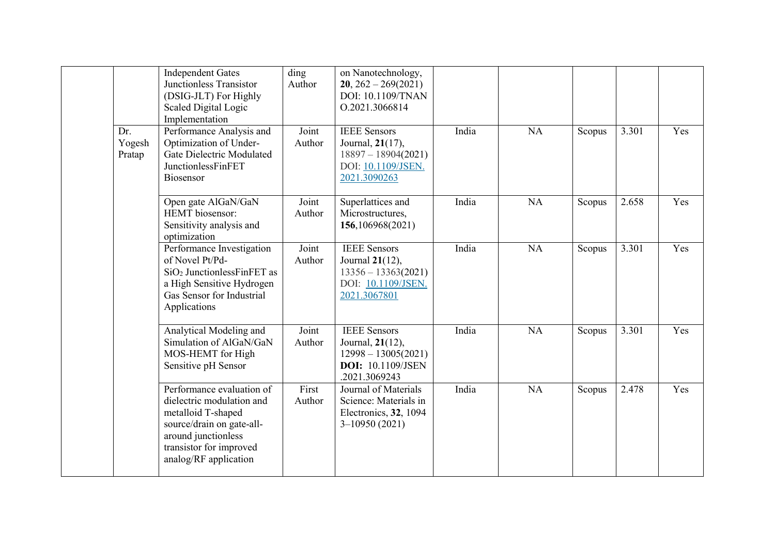|                         | <b>Independent Gates</b><br>Junctionless Transistor<br>(DSIG-JLT) For Highly<br>Scaled Digital Logic<br>Implementation                                                               | $\overline{d}$ ing<br>Author | on Nanotechnology,<br>$20, 262 - 269(2021)$<br><b>DOI: 10.1109/TNAN</b><br>O.2021.3066814                     |       |           |        |       |     |
|-------------------------|--------------------------------------------------------------------------------------------------------------------------------------------------------------------------------------|------------------------------|---------------------------------------------------------------------------------------------------------------|-------|-----------|--------|-------|-----|
| Dr.<br>Yogesh<br>Pratap | Performance Analysis and<br>Optimization of Under-<br>Gate Dielectric Modulated<br>JunctionlessFinFET<br>Biosensor                                                                   | Joint<br>Author              | <b>IEEE</b> Sensors<br>Journal, 21(17),<br>$18897 - 18904(2021)$<br>DOI: 10.1109/JSEN.<br>2021.3090263        | India | NA        | Scopus | 3.301 | Yes |
|                         | Open gate AlGaN/GaN<br>HEMT biosensor:<br>Sensitivity analysis and<br>optimization                                                                                                   | Joint<br>Author              | Superlattices and<br>Microstructures,<br>156,106968(2021)                                                     | India | NA        | Scopus | 2.658 | Yes |
|                         | Performance Investigation<br>of Novel Pt/Pd-<br>$SiO2$ Junctionless Fin FET as<br>a High Sensitive Hydrogen<br>Gas Sensor for Industrial<br>Applications                             | Joint<br>Author              | <b>IEEE</b> Sensors<br>Journal 21(12),<br>$13356 - 13363(2021)$<br>DOI: 10.1109/JSEN.<br>2021.3067801         | India | NA        | Scopus | 3.301 | Yes |
|                         | Analytical Modeling and<br>Simulation of AlGaN/GaN<br>MOS-HEMT for High<br>Sensitive pH Sensor                                                                                       | Joint<br>Author              | <b>IEEE</b> Sensors<br>Journal, 21(12),<br>$12998 - 13005(2021)$<br><b>DOI:</b> 10.1109/JSEN<br>.2021.3069243 | India | <b>NA</b> | Scopus | 3.301 | Yes |
|                         | Performance evaluation of<br>dielectric modulation and<br>metalloid T-shaped<br>source/drain on gate-all-<br>around junctionless<br>transistor for improved<br>analog/RF application | First<br>Author              | Journal of Materials<br>Science: Materials in<br>Electronics, 32, 1094<br>$3-10950(2021)$                     | India | NA        | Scopus | 2.478 | Yes |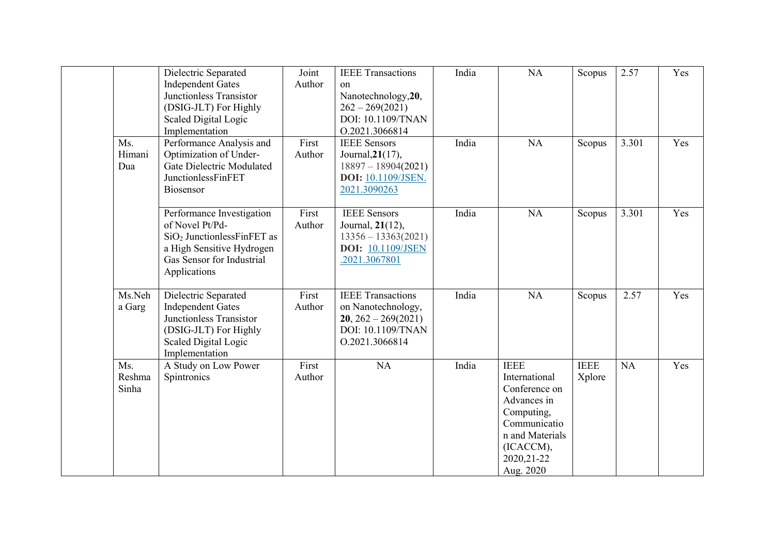|                        | Dielectric Separated<br><b>Independent Gates</b><br>Junctionless Transistor<br>(DSIG-JLT) For Highly<br>Scaled Digital Logic<br>Implementation           | Joint<br>Author | <b>IEEE</b> Transactions<br><sub>on</sub><br>Nanotechnology, 20,<br>$262 - 269(2021)$<br>DOI: 10.1109/TNAN<br>O.2021.3066814 | India | NA                                                                                                                                                     | Scopus                | 2.57  | Yes |
|------------------------|----------------------------------------------------------------------------------------------------------------------------------------------------------|-----------------|------------------------------------------------------------------------------------------------------------------------------|-------|--------------------------------------------------------------------------------------------------------------------------------------------------------|-----------------------|-------|-----|
| Ms.<br>Himani<br>Dua   | Performance Analysis and<br>Optimization of Under-<br>Gate Dielectric Modulated<br>JunctionlessFinFET<br>Biosensor                                       | First<br>Author | <b>IEEE</b> Sensors<br>Journal, 21(17),<br>$18897 - 18904(2021)$<br><b>DOI:</b> 10.1109/JSEN.<br>2021.3090263                | India | NA                                                                                                                                                     | Scopus                | 3.301 | Yes |
|                        | Performance Investigation<br>of Novel Pt/Pd-<br>$SiO2$ Junctionless Fin FET as<br>a High Sensitive Hydrogen<br>Gas Sensor for Industrial<br>Applications | First<br>Author | <b>IEEE</b> Sensors<br>Journal, 21(12),<br>$13356 - 13363(2021)$<br><b>DOI:</b> 10.1109/JSEN<br>.2021.3067801                | India | NA                                                                                                                                                     | Scopus                | 3.301 | Yes |
| Ms.Neh<br>a Garg       | Dielectric Separated<br><b>Independent Gates</b><br>Junctionless Transistor<br>(DSIG-JLT) For Highly<br>Scaled Digital Logic<br>Implementation           | First<br>Author | <b>IEEE</b> Transactions<br>on Nanotechnology,<br>$20, 262 - 269(2021)$<br>DOI: 10.1109/TNAN<br>O.2021.3066814               | India | NA                                                                                                                                                     | Scopus                | 2.57  | Yes |
| Ms.<br>Reshma<br>Sinha | A Study on Low Power<br>Spintronics                                                                                                                      | First<br>Author | NA                                                                                                                           | India | <b>IEEE</b><br>International<br>Conference on<br>Advances in<br>Computing,<br>Communicatio<br>n and Materials<br>(ICACCM),<br>2020, 21-22<br>Aug. 2020 | <b>IEEE</b><br>Xplore | NA    | Yes |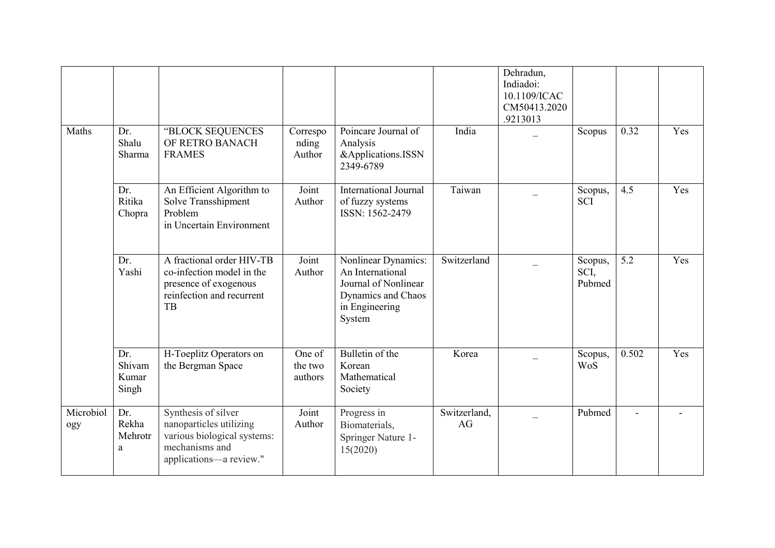|                  |                                 |                                                                                                                            |                              |                                                                                                                   |                    | Dehradun,<br>Indiadoi:<br>10.1109/ICAC<br>CM50413.2020<br>.9213013 |                           |                |                          |
|------------------|---------------------------------|----------------------------------------------------------------------------------------------------------------------------|------------------------------|-------------------------------------------------------------------------------------------------------------------|--------------------|--------------------------------------------------------------------|---------------------------|----------------|--------------------------|
| Maths            | Dr.<br>Shalu<br>Sharma          | "BLOCK SEQUENCES<br>OF RETRO BANACH<br><b>FRAMES</b>                                                                       | Correspo<br>nding<br>Author  | Poincare Journal of<br>Analysis<br>&Applications.ISSN<br>2349-6789                                                | India              |                                                                    | Scopus                    | 0.32           | Yes                      |
|                  | Dr.<br>Ritika<br>Chopra         | An Efficient Algorithm to<br>Solve Transshipment<br>Problem<br>in Uncertain Environment                                    | Joint<br>Author              | <b>International Journal</b><br>of fuzzy systems<br>ISSN: 1562-2479                                               | Taiwan             |                                                                    | Scopus,<br><b>SCI</b>     | 4.5            | Yes                      |
|                  | Dr.<br>Yashi                    | A fractional order HIV-TB<br>co-infection model in the<br>presence of exogenous<br>reinfection and recurrent<br>TB         | Joint<br>Author              | Nonlinear Dynamics:<br>An International<br>Journal of Nonlinear<br>Dynamics and Chaos<br>in Engineering<br>System | Switzerland        |                                                                    | Scopus,<br>SCI,<br>Pubmed | 5.2            | Yes                      |
|                  | Dr.<br>Shivam<br>Kumar<br>Singh | H-Toeplitz Operators on<br>the Bergman Space                                                                               | One of<br>the two<br>authors | Bulletin of the<br>Korean<br>Mathematical<br>Society                                                              | Korea              |                                                                    | Scopus,<br><b>WoS</b>     | 0.502          | Yes                      |
| Microbiol<br>ogy | Dr.<br>Rekha<br>Mehrotr<br>a    | Synthesis of silver<br>nanoparticles utilizing<br>various biological systems:<br>mechanisms and<br>applications-a review." | Joint<br>Author              | Progress in<br>Biomaterials,<br>Springer Nature 1-<br>15(2020)                                                    | Switzerland,<br>AG |                                                                    | Pubmed                    | $\blacksquare$ | $\overline{\phantom{a}}$ |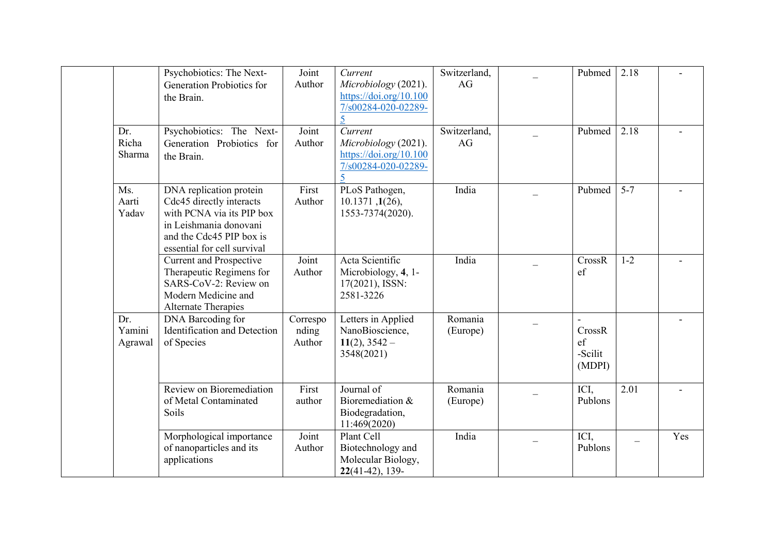|                          | Psychobiotics: The Next-<br>Generation Probiotics for<br>the Brain.                                                                                                   | Joint<br>Author             | Current<br>Microbiology (2021).<br>https://doi.org/10.100<br>7/s00284-020-02289-<br>5 | Switzerland,<br>AG  | Pubmed                                       | 2.18    |                          |
|--------------------------|-----------------------------------------------------------------------------------------------------------------------------------------------------------------------|-----------------------------|---------------------------------------------------------------------------------------|---------------------|----------------------------------------------|---------|--------------------------|
| Dr.<br>Richa<br>Sharma   | Psychobiotics: The Next-<br>Generation Probiotics for<br>the Brain.                                                                                                   | Joint<br>Author             | Current<br>Microbiology (2021).<br>https://doi.org/10.100<br>7/s00284-020-02289-      | Switzerland,<br>AG  | Pubmed                                       | 2.18    |                          |
| Ms.<br>Aarti<br>Yadav    | DNA replication protein<br>Cdc45 directly interacts<br>with PCNA via its PIP box<br>in Leishmania donovani<br>and the Cdc45 PIP box is<br>essential for cell survival | First<br>Author             | PLoS Pathogen,<br>10.1371, 1(26),<br>1553-7374(2020).                                 | India               | Pubmed                                       | $5 - 7$ | $\blacksquare$           |
|                          | <b>Current and Prospective</b><br>Therapeutic Regimens for<br>SARS-CoV-2: Review on<br>Modern Medicine and<br>Alternate Therapies                                     | Joint<br>Author             | Acta Scientific<br>Microbiology, 4, 1-<br>17(2021), ISSN:<br>2581-3226                | India               | CrossR<br>ef                                 | $1-2$   | $\overline{\phantom{a}}$ |
| Dr.<br>Yamini<br>Agrawal | DNA Barcoding for<br>Identification and Detection<br>of Species                                                                                                       | Correspo<br>nding<br>Author | Letters in Applied<br>NanoBioscience,<br>$11(2)$ , 3542 –<br>3548(2021)               | Romania<br>(Europe) | CrossR<br>$\mathsf{ef}$<br>-Scilit<br>(MDPI) |         |                          |
|                          | Review on Bioremediation<br>of Metal Contaminated<br>Soils                                                                                                            | First<br>author             | Journal of<br>Bioremediation &<br>Biodegradation,<br>11:469(2020)                     | Romania<br>(Europe) | ICI,<br>Publons                              | 2.01    | $\overline{a}$           |
|                          | Morphological importance<br>of nanoparticles and its<br>applications                                                                                                  | Joint<br>Author             | Plant Cell<br>Biotechnology and<br>Molecular Biology,<br>$22(41-42), 139-$            | India               | ICI,<br>Publons                              |         | Yes                      |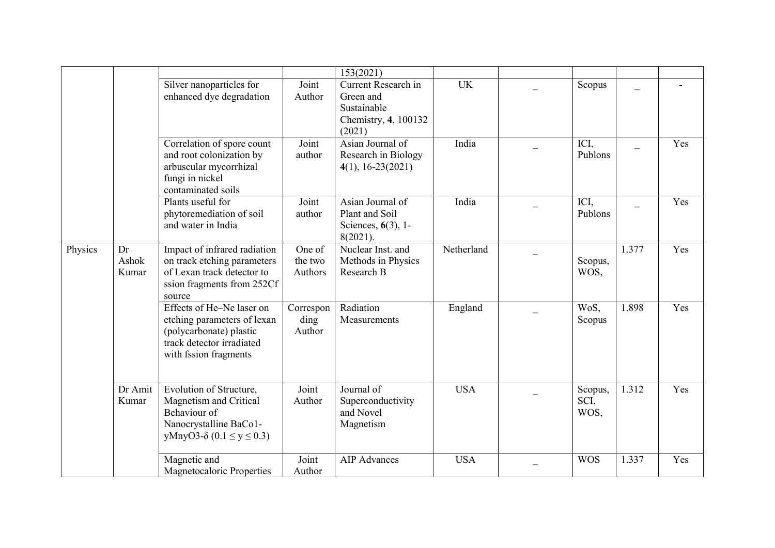|         |                      | Silver nanoparticles for<br>enhanced dye degradation                                                                                      | Joint<br>Author              | 153(2021)<br>Current Research in<br>Green and<br>Sustainable<br>Chemistry, 4, 100132<br>(2021) | UK         | Scopus                  |       |     |
|---------|----------------------|-------------------------------------------------------------------------------------------------------------------------------------------|------------------------------|------------------------------------------------------------------------------------------------|------------|-------------------------|-------|-----|
|         |                      | Correlation of spore count<br>and root colonization by<br>arbuscular mycorrhizal<br>fungi in nickel<br>contaminated soils                 | Joint<br>author              | Asian Journal of<br>Research in Biology<br>$4(1), 16 - 23(2021)$                               | India      | ICI,<br>Publons         |       | Yes |
|         |                      | Plants useful for<br>phytoremediation of soil<br>and water in India                                                                       | Joint<br>author              | Asian Journal of<br>Plant and Soil<br>Sciences, 6(3), 1-<br>$8(2021)$ .                        | India      | ICI,<br>Publons         |       | Yes |
| Physics | Dr<br>Ashok<br>Kumar | Impact of infrared radiation<br>on track etching parameters<br>of Lexan track detector to<br>ssion fragments from 252Cf<br>source         | One of<br>the two<br>Authors | Nuclear Inst. and<br>Methods in Physics<br>Research B                                          | Netherland | Scopus,<br>WOS,         | 1.377 | Yes |
|         |                      | Effects of He-Ne laser on<br>etching parameters of lexan<br>(polycarbonate) plastic<br>track detector irradiated<br>with fssion fragments | Correspon<br>ding<br>Author  | Radiation<br>Measurements                                                                      | England    | WoS,<br>Scopus          | 1.898 | Yes |
|         | Dr Amit<br>Kumar     | Evolution of Structure,<br>Magnetism and Critical<br>Behaviour of<br>Nanocrystalline BaCo1-<br>yMnyO3- $\delta$ (0.1 ≤ y ≤ 0.3)           | Joint<br>Author              | Journal of<br>Superconductivity<br>and Novel<br>Magnetism                                      | <b>USA</b> | Scopus,<br>SCI,<br>WOS, | 1.312 | Yes |
|         |                      | Magnetic and<br><b>Magnetocaloric Properties</b>                                                                                          | Joint<br>Author              | <b>AIP</b> Advances                                                                            | <b>USA</b> | <b>WOS</b>              | 1.337 | Yes |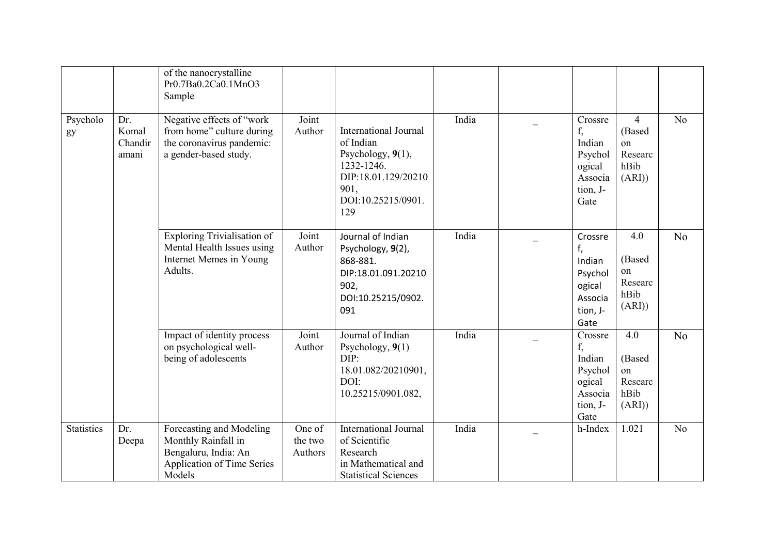|                   |                                  | of the nanocrystalline<br>Pr0.7Ba0.2Ca0.1MnO3<br>Sample                                                         |                              |                                                                                                                                          |       |                                                                             |                                                            |                |
|-------------------|----------------------------------|-----------------------------------------------------------------------------------------------------------------|------------------------------|------------------------------------------------------------------------------------------------------------------------------------------|-------|-----------------------------------------------------------------------------|------------------------------------------------------------|----------------|
| Psycholo<br>gy    | Dr.<br>Komal<br>Chandir<br>amani | Negative effects of "work<br>from home" culture during<br>the coronavirus pandemic:<br>a gender-based study.    | Joint<br>Author              | <b>International Journal</b><br>of Indian<br>Psychology, 9(1),<br>1232-1246.<br>DIP:18.01.129/20210<br>901,<br>DOI:10.25215/0901.<br>129 | India | Crossre<br>f,<br>Indian<br>Psychol<br>ogical<br>Associa<br>tion, J-<br>Gate | $\overline{4}$<br>(Based<br>on<br>Researc<br>hBib<br>(ARI) | N <sub>o</sub> |
|                   |                                  | <b>Exploring Trivialisation of</b><br>Mental Health Issues using<br>Internet Memes in Young<br>Adults.          | Joint<br>Author              | Journal of Indian<br>Psychology, 9(2),<br>868-881.<br>DIP:18.01.091.20210<br>902,<br>DOI:10.25215/0902.<br>091                           | India | Crossre<br>f,<br>Indian<br>Psychol<br>ogical<br>Associa<br>tion, J-<br>Gate | 4.0<br>(Based<br>on<br>Researc<br>hBib<br>(ARI)            | N <sub>o</sub> |
|                   |                                  | Impact of identity process<br>on psychological well-<br>being of adolescents                                    | Joint<br>Author              | Journal of Indian<br>Psychology, 9(1)<br>DIP:<br>18.01.082/20210901,<br>DOI:<br>10.25215/0901.082,                                       | India | Crossre<br>f,<br>Indian<br>Psychol<br>ogical<br>Associa<br>tion, J-<br>Gate | 4.0<br>(Based<br>on<br>Researc<br>hBib<br>(ARI))           | N <sub>o</sub> |
| <b>Statistics</b> | Dr.<br>Deepa                     | Forecasting and Modeling<br>Monthly Rainfall in<br>Bengaluru, India: An<br>Application of Time Series<br>Models | One of<br>the two<br>Authors | <b>International Journal</b><br>of Scientific<br>Research<br>in Mathematical and<br><b>Statistical Sciences</b>                          | India | h-Index                                                                     | 1.021                                                      | N <sub>o</sub> |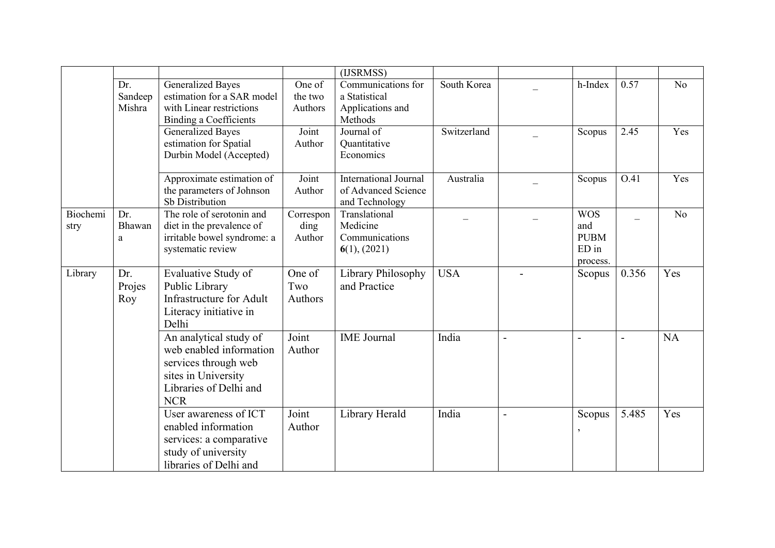|                  |                          |                                                                                                                                          |                              | (IJSRMSS)                                                             |             |                          |                                                       |                          |           |
|------------------|--------------------------|------------------------------------------------------------------------------------------------------------------------------------------|------------------------------|-----------------------------------------------------------------------|-------------|--------------------------|-------------------------------------------------------|--------------------------|-----------|
|                  | Dr.<br>Sandeep<br>Mishra | <b>Generalized Bayes</b><br>estimation for a SAR model<br>with Linear restrictions<br><b>Binding a Coefficients</b>                      | One of<br>the two<br>Authors | Communications for<br>a Statistical<br>Applications and<br>Methods    | South Korea |                          | h-Index                                               | 0.57                     | No        |
|                  |                          | <b>Generalized Bayes</b><br>estimation for Spatial<br>Durbin Model (Accepted)                                                            | Joint<br>Author              | Journal of<br>Quantitative<br>Economics                               | Switzerland |                          | Scopus                                                | 2.45                     | Yes       |
|                  |                          | Approximate estimation of<br>the parameters of Johnson<br>Sb Distribution                                                                | Joint<br>Author              | <b>International Journal</b><br>of Advanced Science<br>and Technology | Australia   |                          | Scopus                                                | O.41                     | Yes       |
| Biochemi<br>stry | Dr.<br>Bhawan<br>a       | The role of serotonin and<br>diet in the prevalence of<br>irritable bowel syndrome: a<br>systematic review                               | Correspon<br>ding<br>Author  | Translational<br>Medicine<br>Communications<br>6(1), (2021)           |             |                          | <b>WOS</b><br>and<br><b>PUBM</b><br>ED in<br>process. | $\overline{\phantom{0}}$ | No        |
| Library          | Dr.<br>Projes<br>Roy     | Evaluative Study of<br>Public Library<br><b>Infrastructure for Adult</b><br>Literacy initiative in<br>Delhi                              | One of<br>Two<br>Authors     | Library Philosophy<br>and Practice                                    | <b>USA</b>  |                          | Scopus                                                | 0.356                    | Yes       |
|                  |                          | An analytical study of<br>web enabled information<br>services through web<br>sites in University<br>Libraries of Delhi and<br><b>NCR</b> | Joint<br>Author              | <b>IME</b> Journal                                                    | India       | $\overline{\phantom{0}}$ |                                                       | $\overline{\phantom{0}}$ | <b>NA</b> |
|                  |                          | User awareness of ICT<br>enabled information<br>services: a comparative<br>study of university<br>libraries of Delhi and                 | Joint<br>Author              | Library Herald                                                        | India       | $\blacksquare$           | Scopus                                                | 5.485                    | Yes       |